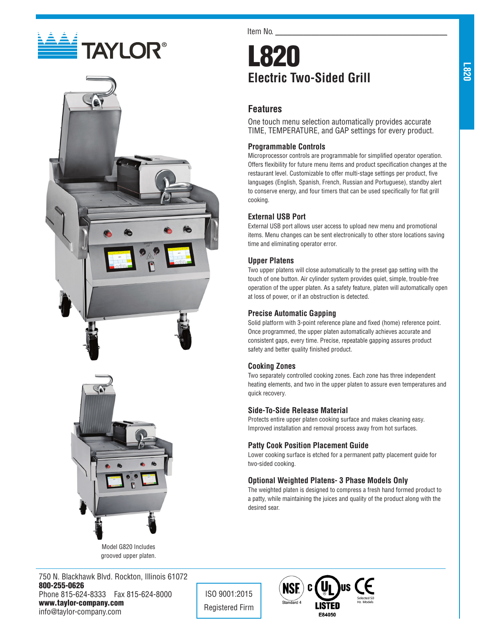





Model G820 Includes grooved upper platen.

750 N. Blackhawk Blvd. Rockton, Illinois 61072 800-255-0626 Phone 815-624-8333 Fax 815-624-8000 www.taylor-company.com info@taylor-company.com

Item No.

# L820 **Electric Two-Sided Grill**

## **Features**

One touch menu selection automatically provides accurate TIME, TEMPERATURE, and GAP settings for every product.

#### **Programmable Controls**

Microprocessor controls are programmable for simplified operator operation. Offers flexibility for future menu items and product specification changes at the restaurant level. Customizable to offer multi-stage settings per product, five languages (English, Spanish, French, Russian and Portuguese), standby alert to conserve energy, and four timers that can be used specifically for flat grill cooking.

### **External USB Port**

External USB port allows user access to upload new menu and promotional items. Menu changes can be sent electronically to other store locations saving time and eliminating operator error.

#### **Upper Platens**

Two upper platens will close automatically to the preset gap setting with the touch of one button. Air cylinder system provides quiet, simple, trouble-free operation of the upper platen. As a safety feature, platen will automatically open at loss of power, or if an obstruction is detected.

#### **Precise Automatic Gapping**

Solid platform with 3-point reference plane and fixed (home) reference point. Once programmed, the upper platen automatically achieves accurate and consistent gaps, every time. Precise, repeatable gapping assures product safety and better quality finished product.

#### **Cooking Zones**

Two separately controlled cooking zones. Each zone has three independent heating elements, and two in the upper platen to assure even temperatures and quick recovery.

#### **Side-To-Side Release Material**

Protects entire upper platen cooking surface and makes cleaning easy. Improved installation and removal process away from hot surfaces.

### **Patty Cook Position Placement Guide**

Lower cooking surface is etched for a permanent patty placement guide for two-sided cooking.

### **Optional Weighted Platens- 3 Phase Models Only**

The weighted platen is designed to compress a fresh hand formed product to a patty, while maintaining the juices and quality of the product along with the desired sear.